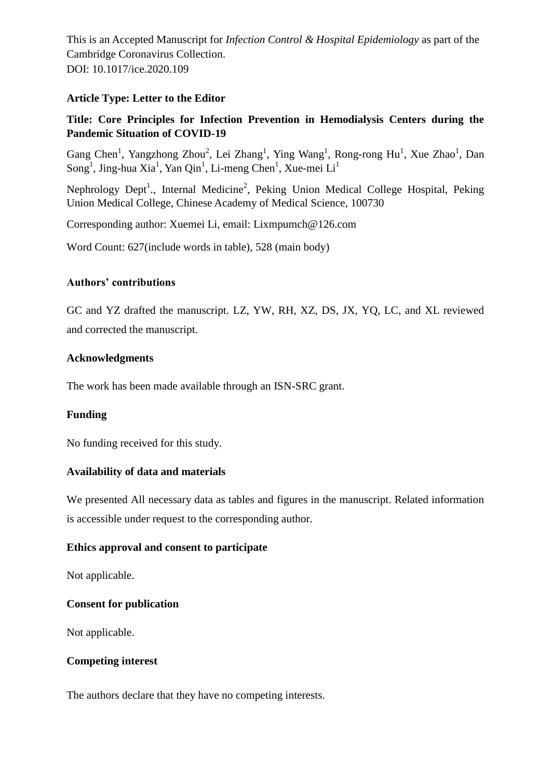This is an Accepted Manuscript for *Infection Control & Hospital Epidemiology* as part of the Cambridge Coronavirus Collection. DOI: 10.1017/ice.2020.109

#### **Article Type: Letter to the Editor**

# **Title: Core Principles for Infection Prevention in Hemodialysis Centers during the Pandemic Situation of COVID-19**

Gang Chen<sup>1</sup>, Yangzhong Zhou<sup>2</sup>, Lei Zhang<sup>1</sup>, Ying Wang<sup>1</sup>, Rong-rong Hu<sup>1</sup>, Xue Zhao<sup>1</sup>, Dan  $\text{Song}^1$ , Jing-hua Xia<sup>1</sup>, Yan Qin<sup>1</sup>, Li-meng Chen<sup>1</sup>, Xue-mei Li<sup>1</sup>

Nephrology Dept<sup>1</sup>., Internal Medicine<sup>2</sup>, Peking Union Medical College Hospital, Peking Union Medical College, Chinese Academy of Medical Science, 100730

Corresponding author: Xuemei Li, email: Lixmpumch@126.com

Word Count: 627(include words in table), 528 (main body)

#### **Authors' contributions**

GC and YZ drafted the manuscript. LZ, YW, RH, XZ, DS, JX, YQ, LC, and XL reviewed and corrected the manuscript.

### **Acknowledgments**

The work has been made available through an ISN-SRC grant.

# **Funding**

No funding received for this study.

#### **Availability of data and materials**

We presented All necessary data as tables and figures in the manuscript. Related information is accessible under request to the corresponding author.

#### **Ethics approval and consent to participate**

Not applicable.

#### **Consent for publication**

Not applicable.

#### **Competing interest**

The authors declare that they have no competing interests.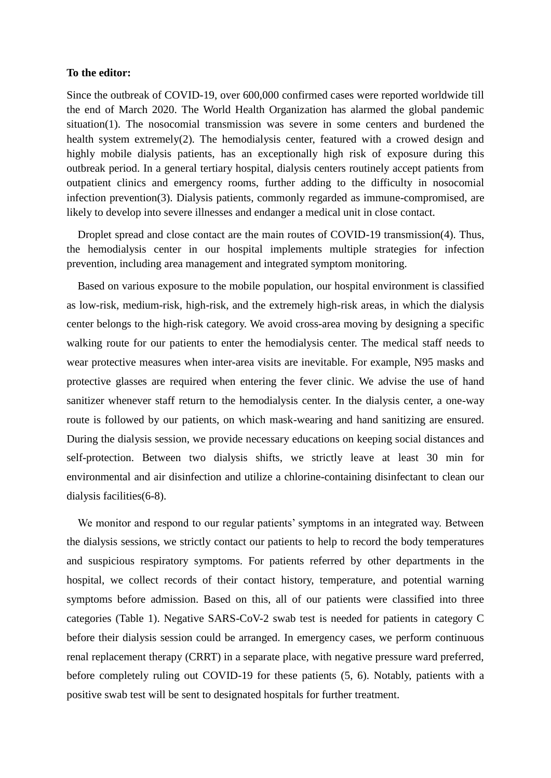#### **To the editor:**

Since the outbreak of COVID-19, over 600,000 confirmed cases were reported worldwide till the end of March 2020. The World Health Organization has alarmed the global pandemic situation(1). The nosocomial transmission was severe in some centers and burdened the health system extremely(2). The hemodialysis center, featured with a crowed design and highly mobile dialysis patients, has an exceptionally high risk of exposure during this outbreak period. In a general tertiary hospital, dialysis centers routinely accept patients from outpatient clinics and emergency rooms, further adding to the difficulty in nosocomial infection prevention(3). Dialysis patients, commonly regarded as immune-compromised, are likely to develop into severe illnesses and endanger a medical unit in close contact.

Droplet spread and close contact are the main routes of COVID-19 transmission(4). Thus, the hemodialysis center in our hospital implements multiple strategies for infection prevention, including area management and integrated symptom monitoring.

Based on various exposure to the mobile population, our hospital environment is classified as low-risk, medium-risk, high-risk, and the extremely high-risk areas, in which the dialysis center belongs to the high-risk category. We avoid cross-area moving by designing a specific walking route for our patients to enter the hemodialysis center. The medical staff needs to wear protective measures when inter-area visits are inevitable. For example, N95 masks and protective glasses are required when entering the fever clinic. We advise the use of hand sanitizer whenever staff return to the hemodialysis center. In the dialysis center, a one-way route is followed by our patients, on which mask-wearing and hand sanitizing are ensured. During the dialysis session, we provide necessary educations on keeping social distances and self-protection. Between two dialysis shifts, we strictly leave at least 30 min for environmental and air disinfection and utilize a chlorine-containing disinfectant to clean our dialysis facilities(6-8).

We monitor and respond to our regular patients' symptoms in an integrated way. Between the dialysis sessions, we strictly contact our patients to help to record the body temperatures and suspicious respiratory symptoms. For patients referred by other departments in the hospital, we collect records of their contact history, temperature, and potential warning symptoms before admission. Based on this, all of our patients were classified into three categories (Table 1). Negative SARS-CoV-2 swab test is needed for patients in category C before their dialysis session could be arranged. In emergency cases, we perform continuous renal replacement therapy (CRRT) in a separate place, with negative pressure ward preferred, before completely ruling out COVID-19 for these patients (5, 6). Notably, patients with a positive swab test will be sent to designated hospitals for further treatment.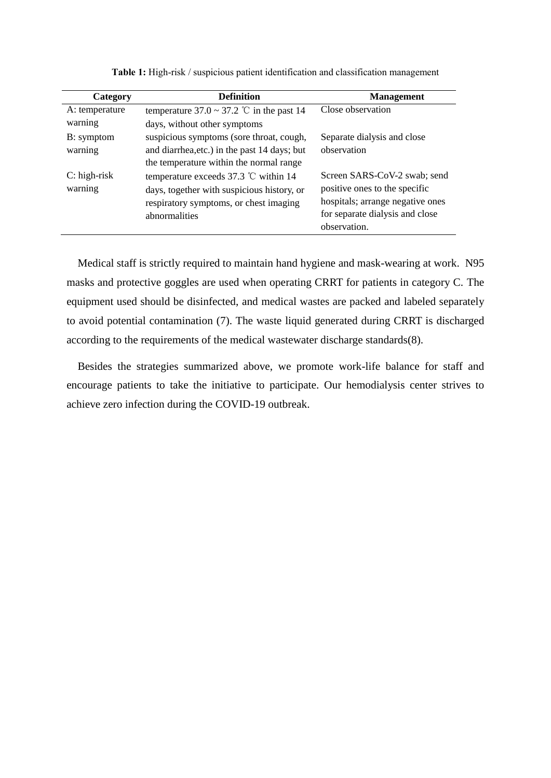| Category       | <b>Definition</b>                              | <b>Management</b>                |
|----------------|------------------------------------------------|----------------------------------|
| A: temperature | temperature $37.0 \sim 37.2$ °C in the past 14 | Close observation                |
| warning        | days, without other symptoms                   |                                  |
| B: symptom     | suspicious symptoms (sore throat, cough,       | Separate dialysis and close      |
| warning        | and diarrhea, etc.) in the past 14 days; but   | observation                      |
|                | the temperature within the normal range        |                                  |
| $C:$ high-risk | temperature exceeds 37.3 $\degree$ C within 14 | Screen SARS-CoV-2 swab; send     |
| warning        | days, together with suspicious history, or     | positive ones to the specific    |
|                | respiratory symptoms, or chest imaging         | hospitals; arrange negative ones |
|                | abnormalities                                  | for separate dialysis and close  |
|                |                                                | observation.                     |

**Table 1:** High-risk / suspicious patient identification and classification management

Medical staff is strictly required to maintain hand hygiene and mask-wearing at work. N95 masks and protective goggles are used when operating CRRT for patients in category C. The equipment used should be disinfected, and medical wastes are packed and labeled separately to avoid potential contamination (7). The waste liquid generated during CRRT is discharged according to the requirements of the medical wastewater discharge standards(8).

Besides the strategies summarized above, we promote work-life balance for staff and encourage patients to take the initiative to participate. Our hemodialysis center strives to achieve zero infection during the COVID-19 outbreak.